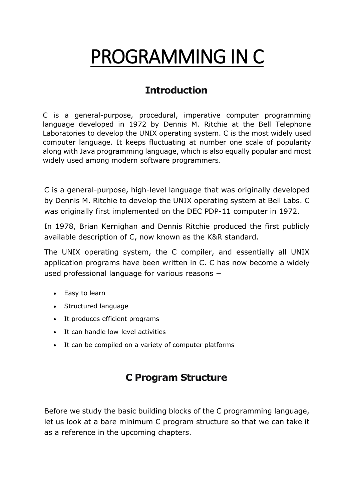# PROGRAMMING IN C

### **Introduction**

C is a general-purpose, procedural, imperative computer programming language developed in 1972 by Dennis M. Ritchie at the Bell Telephone Laboratories to develop the UNIX operating system. C is the most widely used computer language. It keeps fluctuating at number one scale of popularity along with Java programming language, which is also equally popular and most widely used among modern software programmers.

C is a general-purpose, high-level language that was originally developed by Dennis M. Ritchie to develop the UNIX operating system at Bell Labs. C was originally first implemented on the DEC PDP-11 computer in 1972.

In 1978, Brian Kernighan and Dennis Ritchie produced the first publicly available description of C, now known as the K&R standard.

The UNIX operating system, the C compiler, and essentially all UNIX application programs have been written in C. C has now become a widely used professional language for various reasons −

- Easy to learn
- Structured language
- It produces efficient programs
- It can handle low-level activities
- It can be compiled on a variety of computer platforms

### **C Program Structure**

Before we study the basic building blocks of the C programming language, let us look at a bare minimum C program structure so that we can take it as a reference in the upcoming chapters.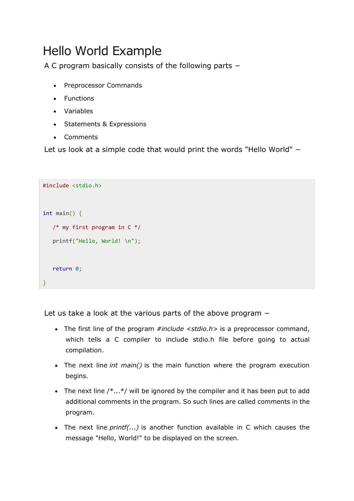### Hello World Example

A C program basically consists of the following parts −

- Preprocessor Commands
- Functions
- Variables
- Statements & Expressions
- Comments

Let us look at a simple code that would print the words "Hello World" −

```
#include <stdio.h>
int main() {
    /* my first program in C */
    printf("Hello, World! \n");
    return 0;
}
```
Let us take a look at the various parts of the above program −

- The first line of the program *#include <stdio.h>* is a preprocessor command, which tells a C compiler to include stdio.h file before going to actual compilation.
- The next line *int main()* is the main function where the program execution begins.
- The next line  $/*...*/$  will be ignored by the compiler and it has been put to add additional comments in the program. So such lines are called comments in the program.
- The next line *printf(...)* is another function available in C which causes the message "Hello, World!" to be displayed on the screen.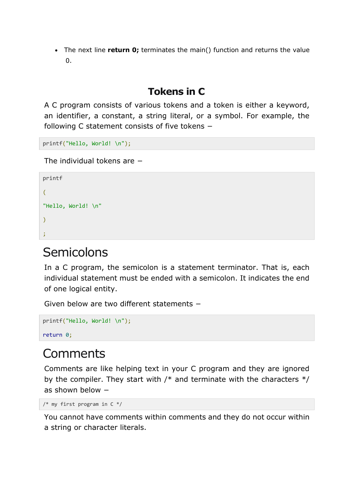The next line **return 0;** terminates the main() function and returns the value 0.

### **Tokens in C**

A C program consists of various tokens and a token is either a keyword, an identifier, a constant, a string literal, or a symbol. For example, the following C statement consists of five tokens −

printf("Hello, World! \n");

The individual tokens are −

```
printf
(
"Hello, World! \n"
)
;
```
### Semicolons

In a C program, the semicolon is a statement terminator. That is, each individual statement must be ended with a semicolon. It indicates the end of one logical entity.

Given below are two different statements −

```
printf("Hello, World! \n");
return 0;
```
### **Comments**

Comments are like helping text in your C program and they are ignored by the compiler. They start with  $/*$  and terminate with the characters  $*/$ as shown below −

```
/* my first program in C^*/
```
You cannot have comments within comments and they do not occur within a string or character literals.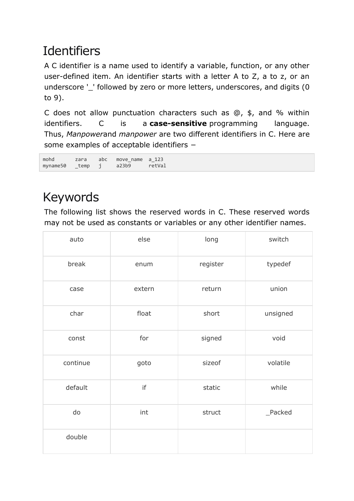## **Identifiers**

A C identifier is a name used to identify a variable, function, or any other user-defined item. An identifier starts with a letter A to Z, a to z, or an underscore '\_' followed by zero or more letters, underscores, and digits (0 to 9).

C does not allow punctuation characters such as  $@$ ,  $\$$ , and % within identifiers. C is a **case-sensitive** programming language. Thus, *Manpower*and *manpower* are two different identifiers in C. Here are some examples of acceptable identifiers −

mohd zara abc move\_name a\_123<br>mvname50 temp i a23b9 retVal myname50  $temp$  j

### Keywords

The following list shows the reserved words in C. These reserved words may not be used as constants or variables or any other identifier names.

| auto     | else   | long     | switch   |
|----------|--------|----------|----------|
| break    | enum   | register | typedef  |
| case     | extern | return   | union    |
| char     | float  | short    | unsigned |
| const    | for    | signed   | void     |
| continue | goto   | sizeof   | volatile |
| default  | if     | static   | while    |
| do       | int    | struct   | _Packed  |
| double   |        |          |          |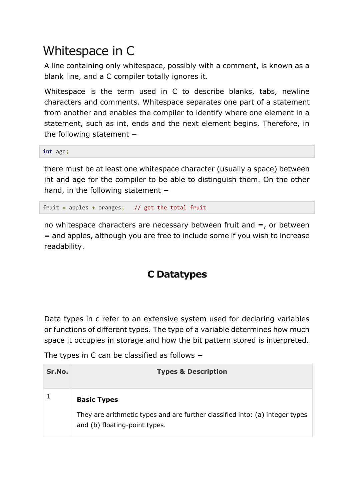### Whitespace in C

A line containing only whitespace, possibly with a comment, is known as a blank line, and a C compiler totally ignores it.

Whitespace is the term used in C to describe blanks, tabs, newline characters and comments. Whitespace separates one part of a statement from another and enables the compiler to identify where one element in a statement, such as int, ends and the next element begins. Therefore, in the following statement −

int age;

there must be at least one whitespace character (usually a space) between int and age for the compiler to be able to distinguish them. On the other hand, in the following statement −

fruit = apples + oranges;  $//$  get the total fruit

no whitespace characters are necessary between fruit and  $=$ , or between = and apples, although you are free to include some if you wish to increase readability.

#### **C Datatypes**

Data types in c refer to an extensive system used for declaring variables or functions of different types. The type of a variable determines how much space it occupies in storage and how the bit pattern stored is interpreted.

The types in C can be classified as follows −

| Sr.No. | <b>Types &amp; Description</b>                                                                                |
|--------|---------------------------------------------------------------------------------------------------------------|
|        | <b>Basic Types</b>                                                                                            |
|        | They are arithmetic types and are further classified into: (a) integer types<br>and (b) floating-point types. |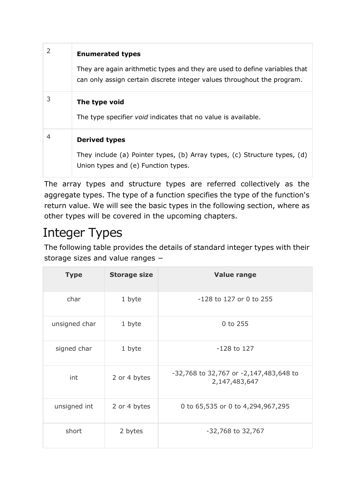|   | <b>Enumerated types</b>                                                                                                                               |
|---|-------------------------------------------------------------------------------------------------------------------------------------------------------|
|   | They are again arithmetic types and they are used to define variables that<br>can only assign certain discrete integer values throughout the program. |
| 3 | The type void<br>The type specifier <i>void</i> indicates that no value is available.                                                                 |
| 4 | <b>Derived types</b><br>They include (a) Pointer types, (b) Array types, (c) Structure types, (d)<br>Union types and (e) Function types.              |

The array types and structure types are referred collectively as the aggregate types. The type of a function specifies the type of the function's return value. We will see the basic types in the following section, where as other types will be covered in the upcoming chapters.

## Integer Types

The following table provides the details of standard integer types with their storage sizes and value ranges −

| <b>Type</b>   | <b>Storage size</b> | <b>Value range</b>                                      |
|---------------|---------------------|---------------------------------------------------------|
| char          | 1 byte              | -128 to 127 or 0 to 255                                 |
| unsigned char | 1 byte              | 0 to 255                                                |
| signed char   | 1 byte              | $-128$ to 127                                           |
| int           | 2 or 4 bytes        | -32,768 to 32,767 or -2,147,483,648 to<br>2,147,483,647 |
| unsigned int  | 2 or 4 bytes        | 0 to 65,535 or 0 to 4,294,967,295                       |
| short         | 2 bytes             | -32,768 to 32,767                                       |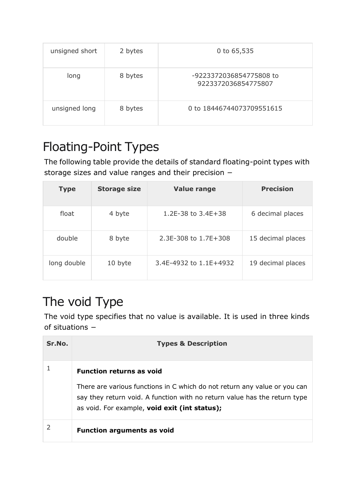| unsigned short | 2 bytes | 0 to 65,535                                    |
|----------------|---------|------------------------------------------------|
| long           | 8 bytes | -9223372036854775808 to<br>9223372036854775807 |
| unsigned long  | 8 bytes | 0 to 18446744073709551615                      |

## Floating-Point Types

The following table provide the details of standard floating-point types with storage sizes and value ranges and their precision −

| <b>Type</b> | <b>Storage size</b> | <b>Value range</b>     | <b>Precision</b>  |
|-------------|---------------------|------------------------|-------------------|
| float       | 4 byte              | 1.2E-38 to $3.4E+38$   | 6 decimal places  |
| double      | 8 byte              | 2.3E-308 to 1.7E+308   | 15 decimal places |
| long double | 10 byte             | 3.4E-4932 to 1.1E+4932 | 19 decimal places |

### The void Type

The void type specifies that no value is available. It is used in three kinds of situations −

| Sr.No. | <b>Types &amp; Description</b>                                                                                                                                                                          |
|--------|---------------------------------------------------------------------------------------------------------------------------------------------------------------------------------------------------------|
|        | <b>Function returns as void</b>                                                                                                                                                                         |
|        | There are various functions in C which do not return any value or you can<br>say they return void. A function with no return value has the return type<br>as void. For example, void exit (int status); |
|        | <b>Function arguments as void</b>                                                                                                                                                                       |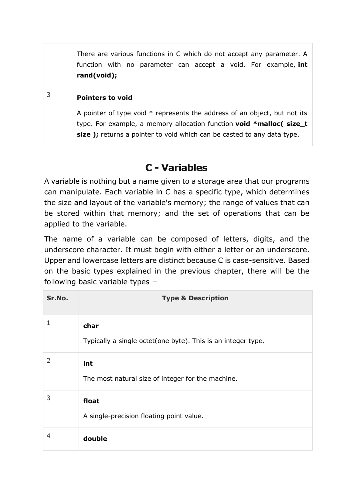There are various functions in C which do not accept any parameter. A function with no parameter can accept a void. For example, **int rand(void);**

#### <sup>3</sup> **Pointers to void**

A pointer of type void  $*$  represents the address of an object, but not its type. For example, a memory allocation function **void \*malloc( size\_t**  size ); returns a pointer to void which can be casted to any data type.

#### **C - Variables**

A variable is nothing but a name given to a storage area that our programs can manipulate. Each variable in C has a specific type, which determines the size and layout of the variable's memory; the range of values that can be stored within that memory; and the set of operations that can be applied to the variable.

The name of a variable can be composed of letters, digits, and the underscore character. It must begin with either a letter or an underscore. Upper and lowercase letters are distinct because C is case-sensitive. Based on the basic types explained in the previous chapter, there will be the following basic variable types −

| Sr.No.        | <b>Type &amp; Description</b>                                        |
|---------------|----------------------------------------------------------------------|
| 1             | char<br>Typically a single octet(one byte). This is an integer type. |
| $\mathcal{L}$ | int<br>The most natural size of integer for the machine.             |
| 3             | float<br>A single-precision floating point value.                    |
| 4             | double                                                               |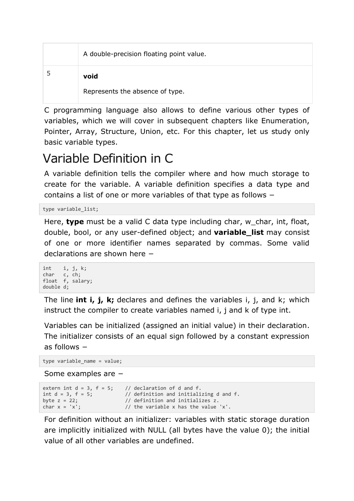| A double-precision floating point value. |
|------------------------------------------|
| void                                     |
| Represents the absence of type.          |

C programming language also allows to define various other types of variables, which we will cover in subsequent chapters like Enumeration, Pointer, Array, Structure, Union, etc. For this chapter, let us study only basic variable types.

### Variable Definition in C

A variable definition tells the compiler where and how much storage to create for the variable. A variable definition specifies a data type and contains a list of one or more variables of that type as follows −

type variable\_list;

Here, **type** must be a valid C data type including char, w char, int, float, double, bool, or any user-defined object; and **variable\_list** may consist of one or more identifier names separated by commas. Some valid declarations are shown here −

```
int i, j, k;
char c, ch;
float f, salary;
double d;
```
The line **int i, j, k;** declares and defines the variables i, j, and k; which instruct the compiler to create variables named i, i and k of type int.

Variables can be initialized (assigned an initial value) in their declaration. The initializer consists of an equal sign followed by a constant expression as follows −

```
type variable_name = value;
```

```
Some examples are −
```

```
extern int d = 3, f = 5; // declaration of d and f.<br>int d = 3, f = 5; // definition and initiali
                                   \frac{1}{3} definition and initializing d and f.
byte z = 22;<br>
char x = 'x';<br>
// the variable x has the value
                                   // the variable x has the value 'x'.
```
For definition without an initializer: variables with static storage duration are implicitly initialized with NULL (all bytes have the value 0); the initial value of all other variables are undefined.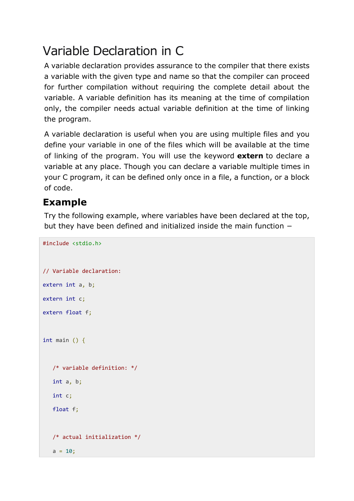### Variable Declaration in C

A variable declaration provides assurance to the compiler that there exists a variable with the given type and name so that the compiler can proceed for further compilation without requiring the complete detail about the variable. A variable definition has its meaning at the time of compilation only, the compiler needs actual variable definition at the time of linking the program.

A variable declaration is useful when you are using multiple files and you define your variable in one of the files which will be available at the time of linking of the program. You will use the keyword **extern** to declare a variable at any place. Though you can declare a variable multiple times in your C program, it can be defined only once in a file, a function, or a block of code.

#### **Example**

#include <stdio.h>

Try the following example, where variables have been declared at the top, but they have been defined and initialized inside the main function −

```
// Variable declaration:
extern int a, b;
extern int c;
extern float f;
int main () {
    /* variable definition: */
    int a, b;
    int c;
    float f;
    /* actual initialization */
   a = 10:
```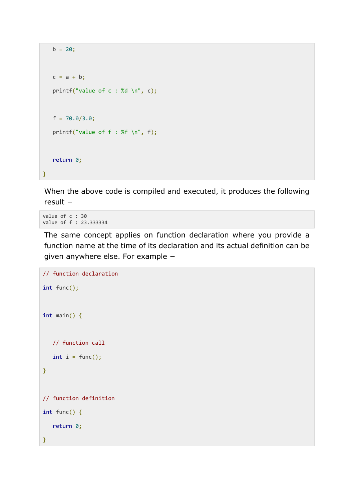```
b = 20;c = a + b;printf("value of c : %d \n", c);
   f = 70.0/3.0;printf("value of f : %f \in N", f);
    return 0;
}
```
When the above code is compiled and executed, it produces the following result −

value of c : 30 value of f : 23.333334

The same concept applies on function declaration where you provide a function name at the time of its declaration and its actual definition can be given anywhere else. For example −

```
// function declaration
int func();
int main() {
    // function call
   int i = func();
}
// function definition
int func() {
    return 0;
}
```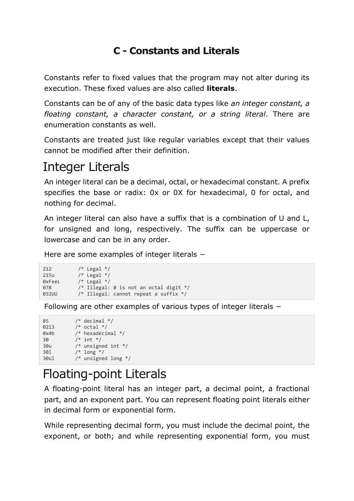### **C - Constants and Literals**

Constants refer to fixed values that the program may not alter during its execution. These fixed values are also called **literals**.

Constants can be of any of the basic data types like *an integer constant, a floating constant, a character constant, or a string literal*. There are enumeration constants as well.

Constants are treated just like regular variables except that their values cannot be modified after their definition.

### Integer Literals

An integer literal can be a decimal, octal, or hexadecimal constant. A prefix specifies the base or radix: 0x or 0X for hexadecimal, 0 for octal, and nothing for decimal.

An integer literal can also have a suffix that is a combination of U and L, for unsigned and long, respectively. The suffix can be uppercase or lowercase and can be in any order.

Here are some examples of integer literals −

```
212 /* Legal */
215u /* Legal */<br>0xFeeL /* Legal */
          /* Legal */078 /* Illegal: 8 is not an octal digit */
032UU /* Illegal: cannot repeat a suffix */
```
Following are other examples of various types of integer literals −

```
85 /* decimal */
0213 /* octal */
0x4b /* hexadecimal */
30 /* int */
30u /* unsigned int */
30l /* long */
30ul /* unsigned long */
```
## Floating-point Literals

A floating-point literal has an integer part, a decimal point, a fractional part, and an exponent part. You can represent floating point literals either in decimal form or exponential form.

While representing decimal form, you must include the decimal point, the exponent, or both; and while representing exponential form, you must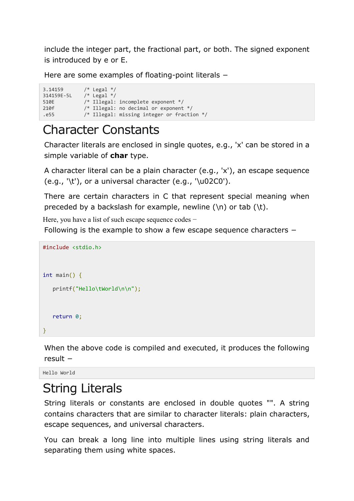include the integer part, the fractional part, or both. The signed exponent is introduced by e or E.

Here are some examples of floating-point literals −

3.14159 /\* Legal \*/ 314159E-5L /\* Legal \*/ 510E /\* Illegal: incomplete exponent \*/ 210f /\* Illegal: no decimal or exponent \*/ .e55 /\* Illegal: missing integer or fraction \*/

### Character Constants

Character literals are enclosed in single quotes, e.g., 'x' can be stored in a simple variable of **char** type.

A character literal can be a plain character (e.g., 'x'), an escape sequence  $(e.g., '\t'),$  or a universal character  $(e.g., '\u02CO').$ 

There are certain characters in C that represent special meaning when preceded by a backslash for example, newline  $(\n)$  or tab  $(\n)$ .

Here, you have a list of such escape sequence codes −

Following is the example to show a few escape sequence characters −

```
#include <stdio.h>
int main() {
    printf("Hello\tWorld\n\n");
    return 0;
}
```
When the above code is compiled and executed, it produces the following result −

Hello World

### String Literals

String literals or constants are enclosed in double quotes "". A string contains characters that are similar to character literals: plain characters, escape sequences, and universal characters.

You can break a long line into multiple lines using string literals and separating them using white spaces.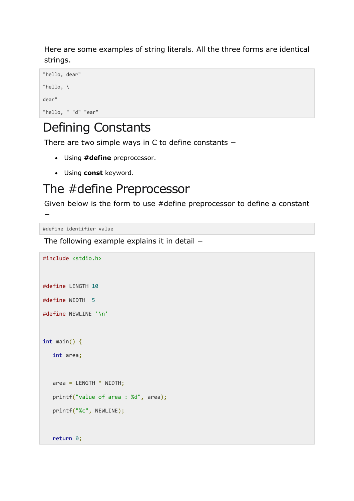Here are some examples of string literals. All the three forms are identical strings.

```
"hello, dear"
"hello, \
dear"
"hello, " "d" "ear"
```
### Defining Constants

There are two simple ways in C to define constants −

- Using **#define** preprocessor.
- Using **const** keyword.

### The #define Preprocessor

Given below is the form to use #define preprocessor to define a constant

#define identifier value

−

The following example explains it in detail −

```
#include <stdio.h>
#define LENGTH 10 
#define WIDTH 5
#define NEWLINE '\n'
int main() {
    int area; 
   area = LENGTH * WIDTH; printf("value of area : %d", area);
    printf("%c", NEWLINE);
    return 0;
```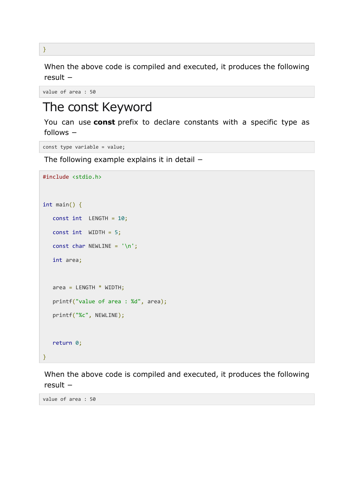When the above code is compiled and executed, it produces the following result −

```
value of area : 50
```
### The const Keyword

You can use **const** prefix to declare constants with a specific type as follows −

```
const type variable = value;
```
The following example explains it in detail −

```
#include <stdio.h>
int main() {
   const int LENGTH = 10;
   const int WIDTH = 5;
  const char NEWLINE = '\n;
   int area; 
  area = LENGTH * WIDTH; printf("value of area : %d", area);
   printf("%c", NEWLINE);
   return 0;
}
```
When the above code is compiled and executed, it produces the following result −

value of area : 50

}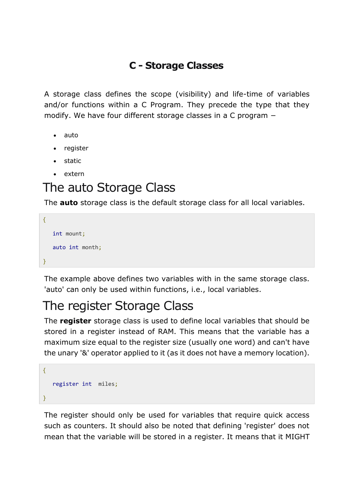#### **C - Storage Classes**

A storage class defines the scope (visibility) and life-time of variables and/or functions within a C Program. They precede the type that they modify. We have four different storage classes in a C program −

- auto
- register
- static
- extern

### The auto Storage Class

The **auto** storage class is the default storage class for all local variables.

```
{
    int mount;
    auto int month;
}
```
The example above defines two variables with in the same storage class. 'auto' can only be used within functions, i.e., local variables.

### The register Storage Class

The **register** storage class is used to define local variables that should be stored in a register instead of RAM. This means that the variable has a maximum size equal to the register size (usually one word) and can't have the unary '&' operator applied to it (as it does not have a memory location).

```
 register int miles;
}
```
{

The register should only be used for variables that require quick access such as counters. It should also be noted that defining 'register' does not mean that the variable will be stored in a register. It means that it MIGHT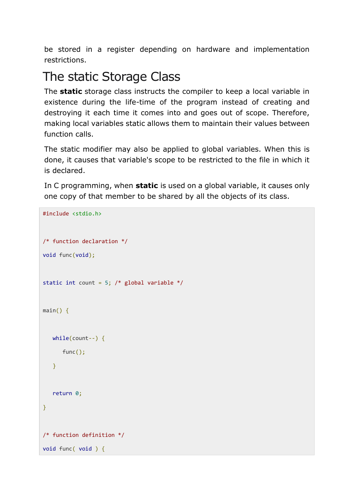be stored in a register depending on hardware and implementation restrictions.

## The static Storage Class

The **static** storage class instructs the compiler to keep a local variable in existence during the life-time of the program instead of creating and destroying it each time it comes into and goes out of scope. Therefore, making local variables static allows them to maintain their values between function calls.

The static modifier may also be applied to global variables. When this is done, it causes that variable's scope to be restricted to the file in which it is declared.

In C programming, when **static** is used on a global variable, it causes only one copy of that member to be shared by all the objects of its class.

```
#include <stdio.h>
/* function declaration */
void func(void);
static int count = 5; /* global variable */main() {
   while(count--) {
      func();
   }
    return 0;
}
/* function definition */
void func( void ) {
```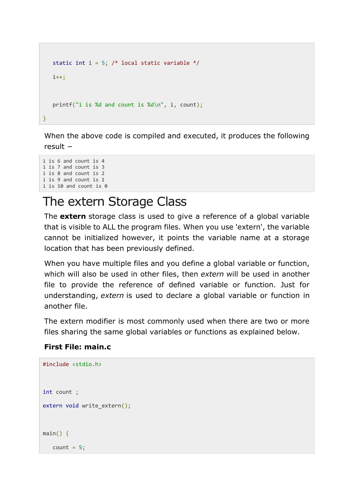```
static int i = 5; /* local static variable */i++:
    printf("i is %d and count is %d\n", i, count);
}
```
When the above code is compiled and executed, it produces the following result −

```
i is 6 and count is 4
i is 7 and count is 3
i is 8 and count is 2
i is 9 and count is 1
i is 10 and count is 0
```
### The extern Storage Class

The **extern** storage class is used to give a reference of a global variable that is visible to ALL the program files. When you use 'extern', the variable cannot be initialized however, it points the variable name at a storage location that has been previously defined.

When you have multiple files and you define a global variable or function, which will also be used in other files, then *extern* will be used in another file to provide the reference of defined variable or function. Just for understanding, *extern* is used to declare a global variable or function in another file.

The extern modifier is most commonly used when there are two or more files sharing the same global variables or functions as explained below.

#### **First File: main.c**

#include <stdio.h>

```
int count ;
extern void write_extern();
main() {
  count = 5;
```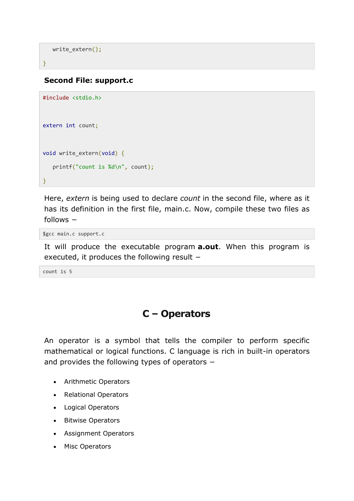```
write extern();
```
#### }

#### **Second File: support.c**

```
#include <stdio.h>
extern int count;
void write_extern(void) {
    printf("count is %d\n", count);
}
```
Here, *extern* is being used to declare *count* in the second file, where as it has its definition in the first file, main.c. Now, compile these two files as follows −

\$gcc main.c support.c

It will produce the executable program **a.out**. When this program is executed, it produces the following result −

count is 5

#### **C – Operators**

An operator is a symbol that tells the compiler to perform specific mathematical or logical functions. C language is rich in built-in operators and provides the following types of operators −

- Arithmetic Operators
- Relational Operators
- Logical Operators
- Bitwise Operators
- Assignment Operators
- Misc Operators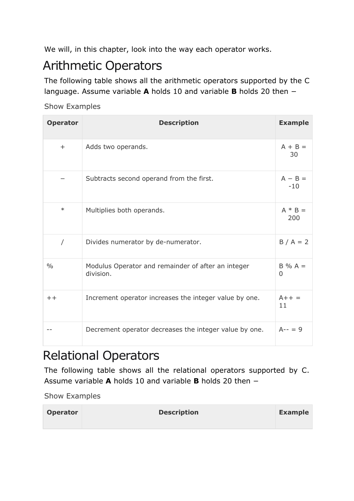We will, in this chapter, look into the way each operator works.

### Arithmetic Operators

The following table shows all the arithmetic operators supported by the C language. Assume variable **A** holds 10 and variable **B** holds 20 then −

#### [Show Examples](https://www.tutorialspoint.com/cprogramming/c_arithmetic_operators.htm)

| <b>Operator</b> | <b>Description</b>                                              | <b>Example</b>              |
|-----------------|-----------------------------------------------------------------|-----------------------------|
| $+$             | Adds two operands.                                              | $A + B =$<br>30             |
|                 | Subtracts second operand from the first.                        | $A - B =$<br>$-10$          |
| $\ast$          | Multiplies both operands.                                       | $A * B =$<br>200            |
| $\prime$        | Divides numerator by de-numerator.                              | $B/A = 2$                   |
| $\frac{0}{0}$   | Modulus Operator and remainder of after an integer<br>division. | $B\% A =$<br>$\overline{0}$ |
| $++$            | Increment operator increases the integer value by one.          | $A++ =$<br>11               |
|                 | Decrement operator decreases the integer value by one.          | $A-- = 9$                   |

## Relational Operators

The following table shows all the relational operators supported by C. Assume variable **A** holds 10 and variable **B** holds 20 then −

| Operator | <b>Description</b> | <b>Example</b> |
|----------|--------------------|----------------|
|          |                    |                |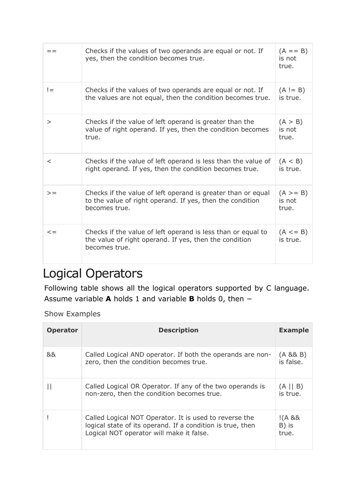|          | Checks if the values of two operands are equal or not. If<br>yes, then the condition becomes true.                                         | $(A == B)$<br>is not<br>true.   |
|----------|--------------------------------------------------------------------------------------------------------------------------------------------|---------------------------------|
| $!=$     | Checks if the values of two operands are equal or not. If<br>the values are not equal, then the condition becomes true.                    | $(A := B)$<br>is true.          |
| $\rm{>}$ | Checks if the value of left operand is greater than the<br>value of right operand. If yes, then the condition becomes<br>true.             | (A > B)<br>is not<br>true.      |
| $\,<\,$  | Checks if the value of left operand is less than the value of<br>right operand. If yes, then the condition becomes true.                   | (A < B)<br>is true.             |
| $>=$     | Checks if the value of left operand is greater than or equal<br>to the value of right operand. If yes, then the condition<br>becomes true. | $(A \geq B)$<br>is not<br>true. |
| $\lt =$  | Checks if the value of left operand is less than or equal to<br>the value of right operand. If yes, then the condition<br>becomes true.    | $(A \leq B)$<br>is true.        |

### Logical Operators

Following table shows all the logical operators supported by C language. Assume variable **A** holds 1 and variable **B** holds 0, then −

| <b>Operator</b> | <b>Description</b>                                                                                                                                               | <b>Example</b>            |
|-----------------|------------------------------------------------------------------------------------------------------------------------------------------------------------------|---------------------------|
| &&              | Called Logical AND operator. If both the operands are non-<br>zero, then the condition becomes true.                                                             | (A 88 B)<br>is false.     |
|                 | Called Logical OR Operator. If any of the two operands is<br>non-zero, then the condition becomes true.                                                          | $(A \mid B)$<br>is true.  |
|                 | Called Logical NOT Operator. It is used to reverse the<br>logical state of its operand. If a condition is true, then<br>Logical NOT operator will make it false. | !(A 88)<br>B) is<br>true. |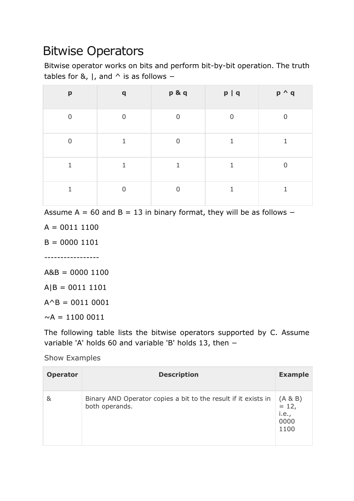## Bitwise Operators

Bitwise operator works on bits and perform bit-by-bit operation. The truth tables for &,  $\vert$ , and  $\wedge$  is as follows –

| $\boldsymbol{\mathsf{p}}$ | $\mathbf q$    | p&q            | p   q          | $p \wedge q$ |
|---------------------------|----------------|----------------|----------------|--------------|
| $\overline{0}$            | $\overline{0}$ | $\overline{0}$ | $\overline{0}$ | $\Omega$     |
| $\overline{0}$            | 1              | $\Omega$       |                |              |
|                           |                |                |                | ∩            |
|                           | $\Omega$       | U              |                |              |

Assume A =  $60$  and B = 13 in binary format, they will be as follows  $-$ 

 $A = 00111100$ 

 $B = 0000 1101$ 

-----------------

 $A&B = 00001100$ 

 $A|B = 00111101$ 

 $A^{\wedge}B = 0011 0001$ 

 $\sim$ A = 1100 0011

The following table lists the bitwise operators supported by C. Assume variable 'A' holds 60 and variable 'B' holds 13, then −

| <b>Operator</b> | <b>Description</b>                                                               | <b>Example</b>                                      |
|-----------------|----------------------------------------------------------------------------------|-----------------------------------------------------|
| &               | Binary AND Operator copies a bit to the result if it exists in<br>both operands. | $(A & B)$<br>= 12,<br><i>i.e.</i> ,<br>0000<br>1100 |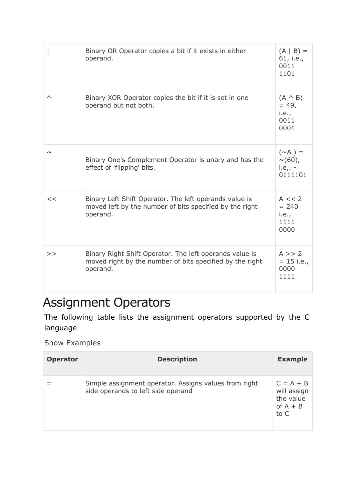|          | Binary OR Operator copies a bit if it exists in either<br>operand.                                                              | $(A   B) =$<br>61, i.e.,<br>0011<br>1101             |
|----------|---------------------------------------------------------------------------------------------------------------------------------|------------------------------------------------------|
| $\wedge$ | Binary XOR Operator copies the bit if it is set in one<br>operand but not both.                                                 | $(A \land B)$<br>$= 49,$<br>i.e.,<br>0011<br>0001    |
| $\sim$   | Binary One's Complement Operator is unary and has the<br>effect of 'flipping' bits.                                             | $(\sim A) =$<br>$\sim$ (60),<br>$i.e., -$<br>0111101 |
| <<       | Binary Left Shift Operator. The left operands value is<br>moved left by the number of bits specified by the right<br>operand.   | A << 2<br>$= 240$<br>i.e.,<br>1111<br>0000           |
| >        | Binary Right Shift Operator. The left operands value is<br>moved right by the number of bits specified by the right<br>operand. | A >> 2<br>$= 15$ i.e.,<br>0000<br>1111               |

## Assignment Operators

The following table lists the assignment operators supported by the C language −

| <b>Operator</b> | <b>Description</b>                                                                          | <b>Example</b>                                                |
|-----------------|---------------------------------------------------------------------------------------------|---------------------------------------------------------------|
|                 | Simple assignment operator. Assigns values from right<br>side operands to left side operand | $C = A + B$<br>will assign<br>the value<br>of $A + B$<br>to C |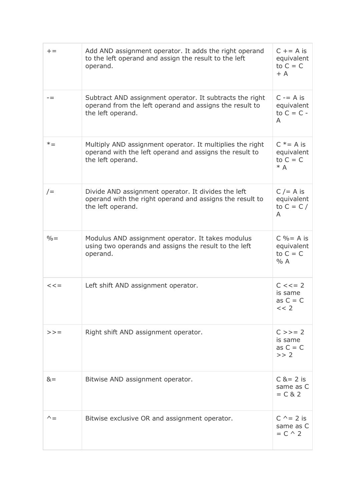| $+=$         | Add AND assignment operator. It adds the right operand<br>to the left operand and assign the result to the left<br>operand.               | $C += A is$<br>equivalent<br>to $C = C$<br>$+A$    |
|--------------|-------------------------------------------------------------------------------------------------------------------------------------------|----------------------------------------------------|
| $- =$        | Subtract AND assignment operator. It subtracts the right<br>operand from the left operand and assigns the result to<br>the left operand.  | $C = A$ is<br>equivalent<br>to $C = C -$<br>A      |
| $* =$        | Multiply AND assignment operator. It multiplies the right<br>operand with the left operand and assigns the result to<br>the left operand. | $C^*$ = A is<br>equivalent<br>to $C = C$<br>$* A$  |
| $/ =$        | Divide AND assignment operator. It divides the left<br>operand with the right operand and assigns the result to<br>the left operand.      | $C$ /= A is<br>equivalent<br>to $C = C /$<br>A     |
| $\% =$       | Modulus AND assignment operator. It takes modulus<br>using two operands and assigns the result to the left<br>operand.                    | $C\% = A$ is<br>equivalent<br>to $C = C$<br>% A    |
| $<<=$        | Left shift AND assignment operator.                                                                                                       | $C \leq 2$<br>is same<br>as $C = C$<br><< 2        |
| $>>=$        | Right shift AND assignment operator.                                                                                                      | $C >> = 2$<br>is same<br>as $C = C$<br>>> 2        |
| $&=$         | Bitwise AND assignment operator.                                                                                                          | $C & = 2$ is<br>same as C<br>$= C 8 2$             |
| $\wedge$ $=$ | Bitwise exclusive OR and assignment operator.                                                                                             | $C^{\wedge} = 2$ is<br>same as C<br>$= C \wedge 2$ |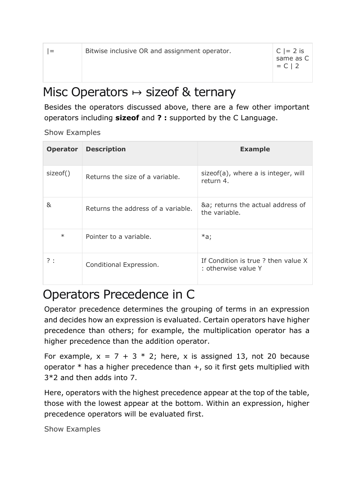|--|

### Misc Operators  $\mapsto$  sizeof & ternary

Besides the operators discussed above, there are a few other important operators including **sizeof** and **? :** supported by the C Language.

[Show Examples](https://www.tutorialspoint.com/cprogramming/c_sizeof_operator.htm)

| <b>Operator</b> | <b>Description</b>                 | <b>Example</b>                                            |
|-----------------|------------------------------------|-----------------------------------------------------------|
| sizeof()        | Returns the size of a variable.    | sizeof(a), where a is integer, will<br>return 4.          |
| &               | Returns the address of a variable. | &a returns the actual address of<br>the variable.         |
| $\ast$          | Pointer to a variable.             | $*a$ ;                                                    |
| ?:              | Conditional Expression.            | If Condition is true? then value X<br>: otherwise value Y |

### Operators Precedence in C

Operator precedence determines the grouping of terms in an expression and decides how an expression is evaluated. Certain operators have higher precedence than others; for example, the multiplication operator has a higher precedence than the addition operator.

For example,  $x = 7 + 3 * 2$ ; here, x is assigned 13, not 20 because operator  $*$  has a higher precedence than  $+$ , so it first gets multiplied with 3\*2 and then adds into 7.

Here, operators with the highest precedence appear at the top of the table, those with the lowest appear at the bottom. Within an expression, higher precedence operators will be evaluated first.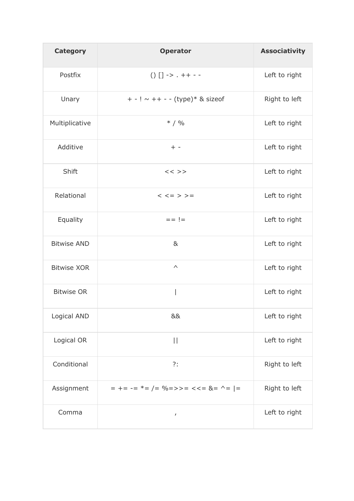| <b>Category</b>    | <b>Operator</b>                                      | <b>Associativity</b> |
|--------------------|------------------------------------------------------|----------------------|
| Postfix            | $() [] -> . + + - -$                                 | Left to right        |
| Unary              | + - ! ~ ++ - - (type)* & sizeof                      | Right to left        |
| Multiplicative     | $* / 9/0$                                            | Left to right        |
| Additive           | $+ -$                                                | Left to right        |
| Shift              | $<<$ >>                                              | Left to right        |
| Relational         | $\lt$ $\lt$ = > > =                                  | Left to right        |
| Equality           | $==$ !=                                              | Left to right        |
| <b>Bitwise AND</b> | 8 <sub>k</sub>                                       | Left to right        |
| <b>Bitwise XOR</b> | $\boldsymbol{\wedge}$                                | Left to right        |
| <b>Bitwise OR</b>  |                                                      | Left to right        |
| Logical AND        | &&                                                   | Left to right        |
| Logical OR         | $\vert \vert$                                        | Left to right        |
| Conditional        | ?:                                                   | Right to left        |
| Assignment         | $= + = - = * = / = % = > - = < = & < = \& = - =   =$ | Right to left        |
| Comma              | $\pmb{I}$                                            | Left to right        |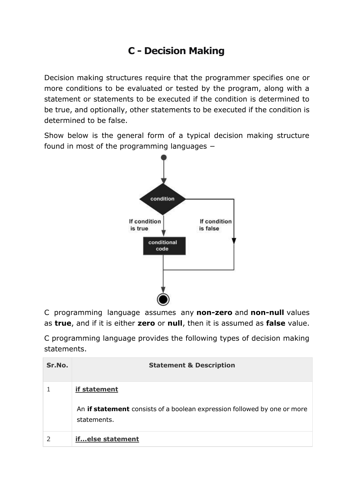### **C - Decision Making**

Decision making structures require that the programmer specifies one or more conditions to be evaluated or tested by the program, along with a statement or statements to be executed if the condition is determined to be true, and optionally, other statements to be executed if the condition is determined to be false.

Show below is the general form of a typical decision making structure found in most of the programming languages −



C programming language assumes any **non-zero** and **non-null** values as **true**, and if it is either **zero** or **null**, then it is assumed as **false** value.

C programming language provides the following types of decision making statements.

| Sr.No. | <b>Statement &amp; Description</b>                                                                             |
|--------|----------------------------------------------------------------------------------------------------------------|
|        | if statement<br>An <b>if statement</b> consists of a boolean expression followed by one or more<br>statements. |
|        | ifelse statement                                                                                               |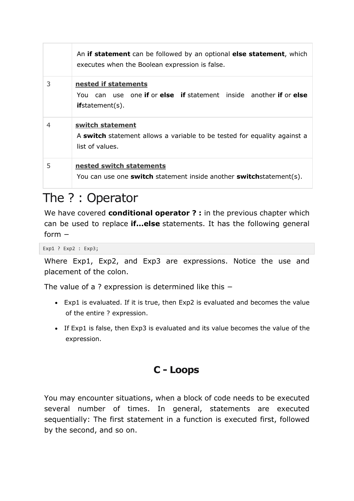|   | An if statement can be followed by an optional else statement, which<br>executes when the Boolean expression is false. |
|---|------------------------------------------------------------------------------------------------------------------------|
| 3 | nested if statements<br>You can use one if or else if statement inside another if or else<br>if statement(s).          |
| 4 | switch statement<br>A switch statement allows a variable to be tested for equality against a<br>list of values.        |
| 5 | nested switch statements<br>You can use one <b>switch</b> statement inside another <b>switch</b> statement(s).         |

### The ? : Operator

We have covered **conditional operator ? :** in the previous chapter which can be used to replace **if...else** statements. It has the following general form −

Exp1 ? Exp2 : Exp3;

Where Exp1, Exp2, and Exp3 are expressions. Notice the use and placement of the colon.

The value of a ? expression is determined like this −

- Exp1 is evaluated. If it is true, then Exp2 is evaluated and becomes the value of the entire ? expression.
- If Exp1 is false, then Exp3 is evaluated and its value becomes the value of the expression.

#### **C - Loops**

You may encounter situations, when a block of code needs to be executed several number of times. In general, statements are executed sequentially: The first statement in a function is executed first, followed by the second, and so on.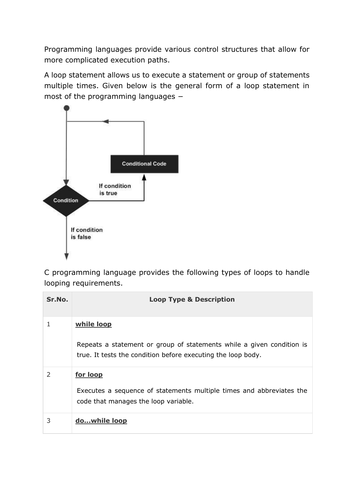Programming languages provide various control structures that allow for more complicated execution paths.

A loop statement allows us to execute a statement or group of statements multiple times. Given below is the general form of a loop statement in most of the programming languages −



C programming language provides the following types of loops to handle looping requirements.

| Sr.No. | <b>Loop Type &amp; Description</b>                                                                                                                  |
|--------|-----------------------------------------------------------------------------------------------------------------------------------------------------|
|        | while loop<br>Repeats a statement or group of statements while a given condition is<br>true. It tests the condition before executing the loop body. |
| 2      | <u>for loop</u><br>Executes a sequence of statements multiple times and abbreviates the<br>code that manages the loop variable.                     |
| 3      | dowhile loop                                                                                                                                        |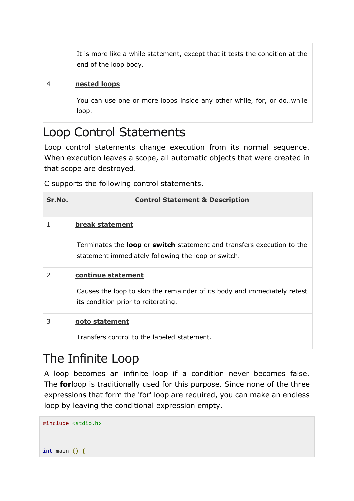| It is more like a while statement, except that it tests the condition at the<br>end of the loop body. |
|-------------------------------------------------------------------------------------------------------|
| nested loops                                                                                          |
| You can use one or more loops inside any other while, for, or do. while<br>loop.                      |

### Loop Control Statements

Loop control statements change execution from its normal sequence. When execution leaves a scope, all automatic objects that were created in that scope are destroyed.

C supports the following control statements.

| Sr.No. | <b>Control Statement &amp; Description</b>                                                                                    |
|--------|-------------------------------------------------------------------------------------------------------------------------------|
| 1      | break statement                                                                                                               |
|        | Terminates the loop or switch statement and transfers execution to the<br>statement immediately following the loop or switch. |
| 2      | continue statement                                                                                                            |
|        | Causes the loop to skip the remainder of its body and immediately retest<br>its condition prior to reiterating.               |
| 3      | goto statement                                                                                                                |
|        | Transfers control to the labeled statement.                                                                                   |

### The Infinite Loop

A loop becomes an infinite loop if a condition never becomes false. The **for**loop is traditionally used for this purpose. Since none of the three expressions that form the 'for' loop are required, you can make an endless loop by leaving the conditional expression empty.

```
#include <stdio.h>
```

```
int main () {
```